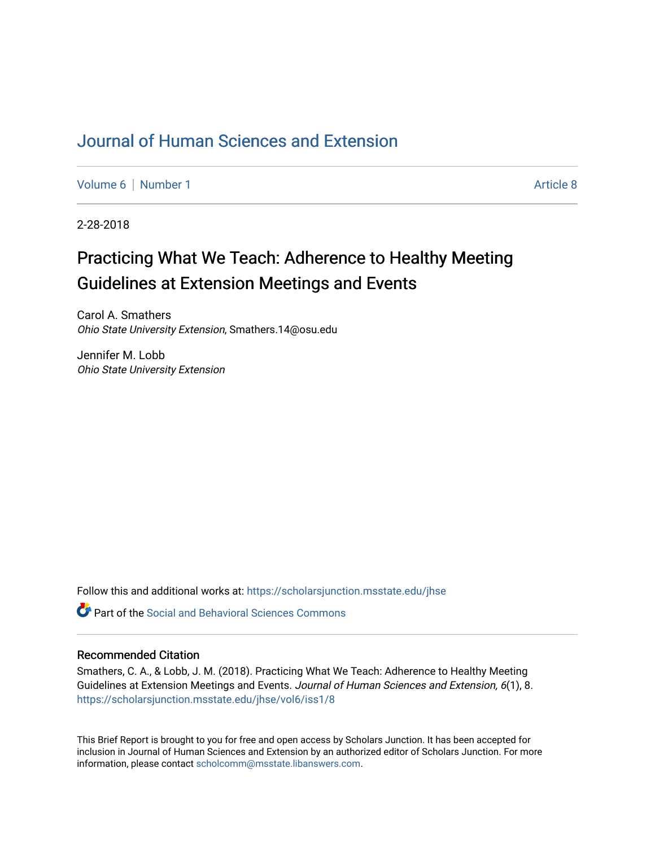## [Journal of Human Sciences and Extension](https://scholarsjunction.msstate.edu/jhse)

[Volume 6](https://scholarsjunction.msstate.edu/jhse/vol6) | [Number 1](https://scholarsjunction.msstate.edu/jhse/vol6/iss1) Article 8

2-28-2018

# Practicing What We Teach: Adherence to Healthy Meeting Guidelines at Extension Meetings and Events

Carol A. Smathers Ohio State University Extension, Smathers.14@osu.edu

Jennifer M. Lobb Ohio State University Extension

Follow this and additional works at: [https://scholarsjunction.msstate.edu/jhse](https://scholarsjunction.msstate.edu/jhse?utm_source=scholarsjunction.msstate.edu%2Fjhse%2Fvol6%2Fiss1%2F8&utm_medium=PDF&utm_campaign=PDFCoverPages)

 $\bullet$  Part of the Social and Behavioral Sciences Commons

#### Recommended Citation

Smathers, C. A., & Lobb, J. M. (2018). Practicing What We Teach: Adherence to Healthy Meeting Guidelines at Extension Meetings and Events. Journal of Human Sciences and Extension, 6(1), 8. [https://scholarsjunction.msstate.edu/jhse/vol6/iss1/8](https://scholarsjunction.msstate.edu/jhse/vol6/iss1/8?utm_source=scholarsjunction.msstate.edu%2Fjhse%2Fvol6%2Fiss1%2F8&utm_medium=PDF&utm_campaign=PDFCoverPages)

This Brief Report is brought to you for free and open access by Scholars Junction. It has been accepted for inclusion in Journal of Human Sciences and Extension by an authorized editor of Scholars Junction. For more information, please contact [scholcomm@msstate.libanswers.com](mailto:scholcomm@msstate.libanswers.com).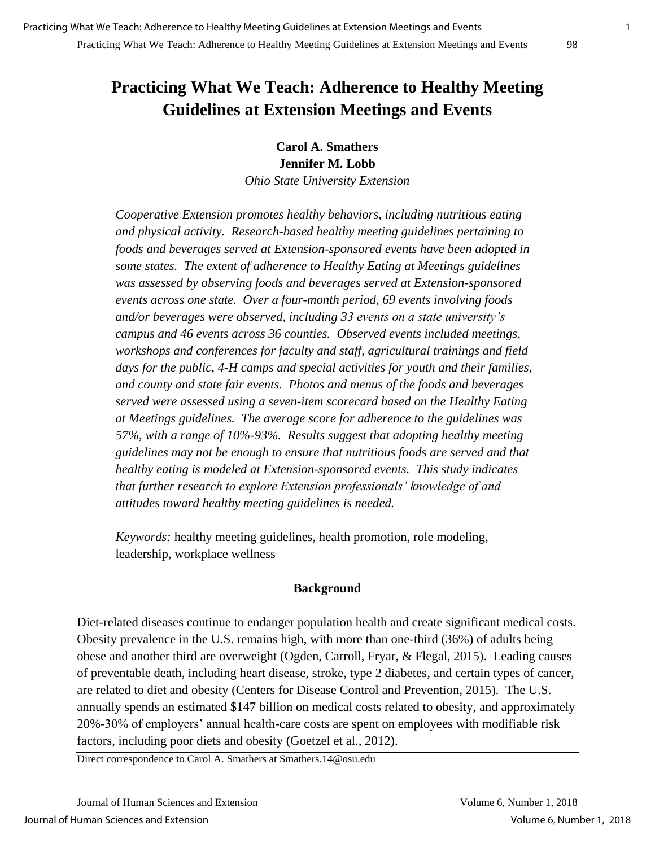## **Practicing What We Teach: Adherence to Healthy Meeting Guidelines at Extension Meetings and Events**

**Carol A. Smathers Jennifer M. Lobb**

*Ohio State University Extension*

*Cooperative Extension promotes healthy behaviors, including nutritious eating and physical activity. Research-based healthy meeting guidelines pertaining to foods and beverages served at Extension-sponsored events have been adopted in some states. The extent of adherence to Healthy Eating at Meetings guidelines was assessed by observing foods and beverages served at Extension-sponsored events across one state. Over a four-month period, 69 events involving foods and/or beverages were observed, including 33 events on a state university's campus and 46 events across 36 counties. Observed events included meetings, workshops and conferences for faculty and staff, agricultural trainings and field days for the public, 4-H camps and special activities for youth and their families, and county and state fair events. Photos and menus of the foods and beverages served were assessed using a seven-item scorecard based on the Healthy Eating at Meetings guidelines. The average score for adherence to the guidelines was 57%, with a range of 10%-93%. Results suggest that adopting healthy meeting guidelines may not be enough to ensure that nutritious foods are served and that healthy eating is modeled at Extension-sponsored events. This study indicates that further research to explore Extension professionals' knowledge of and attitudes toward healthy meeting guidelines is needed.*

*Keywords:* healthy meeting guidelines, health promotion, role modeling, leadership, workplace wellness

#### **Background**

Diet-related diseases continue to endanger population health and create significant medical costs. Obesity prevalence in the U.S. remains high, with more than one-third (36%) of adults being obese and another third are overweight (Ogden, Carroll, Fryar, & Flegal, 2015). Leading causes of preventable death, including heart disease, stroke, type 2 diabetes, and certain types of cancer, are related to diet and obesity (Centers for Disease Control and Prevention, 2015). The U.S. annually spends an estimated \$147 billion on medical costs related to obesity, and approximately 20%-30% of employers' annual health-care costs are spent on employees with modifiable risk factors, including poor diets and obesity (Goetzel et al., 2012).

Direct correspondence to Carol A. Smathers at Smathers.14@osu.edu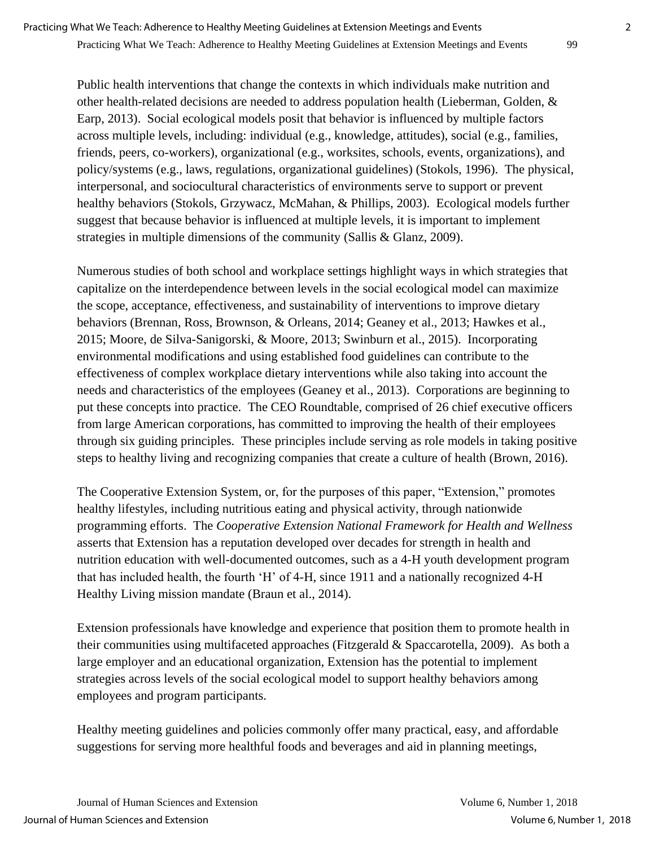Public health interventions that change the contexts in which individuals make nutrition and other health-related decisions are needed to address population health (Lieberman, Golden, & Earp, 2013). Social ecological models posit that behavior is influenced by multiple factors across multiple levels, including: individual (e.g., knowledge, attitudes), social (e.g., families, friends, peers, co-workers), organizational (e.g., worksites, schools, events, organizations), and policy/systems (e.g., laws, regulations, organizational guidelines) (Stokols, 1996). The physical, interpersonal, and sociocultural characteristics of environments serve to support or prevent healthy behaviors (Stokols, Grzywacz, McMahan, & Phillips, 2003). Ecological models further suggest that because behavior is influenced at multiple levels, it is important to implement strategies in multiple dimensions of the community (Sallis & Glanz, 2009).

Numerous studies of both school and workplace settings highlight ways in which strategies that capitalize on the interdependence between levels in the social ecological model can maximize the scope, acceptance, effectiveness, and sustainability of interventions to improve dietary behaviors (Brennan, Ross, Brownson, & Orleans, 2014; Geaney et al., 2013; Hawkes et al., 2015; Moore, de Silva-Sanigorski, & Moore, 2013; Swinburn et al., 2015). Incorporating environmental modifications and using established food guidelines can contribute to the effectiveness of complex workplace dietary interventions while also taking into account the needs and characteristics of the employees (Geaney et al., 2013). Corporations are beginning to put these concepts into practice. The CEO Roundtable, comprised of 26 chief executive officers from large American corporations, has committed to improving the health of their employees through six guiding principles. These principles include serving as role models in taking positive steps to healthy living and recognizing companies that create a culture of health (Brown, 2016).

The Cooperative Extension System, or, for the purposes of this paper, "Extension," promotes healthy lifestyles, including nutritious eating and physical activity, through nationwide programming efforts. The *Cooperative Extension National Framework for Health and Wellness*  asserts that Extension has a reputation developed over decades for strength in health and nutrition education with well-documented outcomes, such as a 4-H youth development program that has included health, the fourth 'H' of 4-H, since 1911 and a nationally recognized 4-H Healthy Living mission mandate (Braun et al., 2014).

Extension professionals have knowledge and experience that position them to promote health in their communities using multifaceted approaches (Fitzgerald & Spaccarotella, 2009). As both a large employer and an educational organization, Extension has the potential to implement strategies across levels of the social ecological model to support healthy behaviors among employees and program participants.

Healthy meeting guidelines and policies commonly offer many practical, easy, and affordable suggestions for serving more healthful foods and beverages and aid in planning meetings,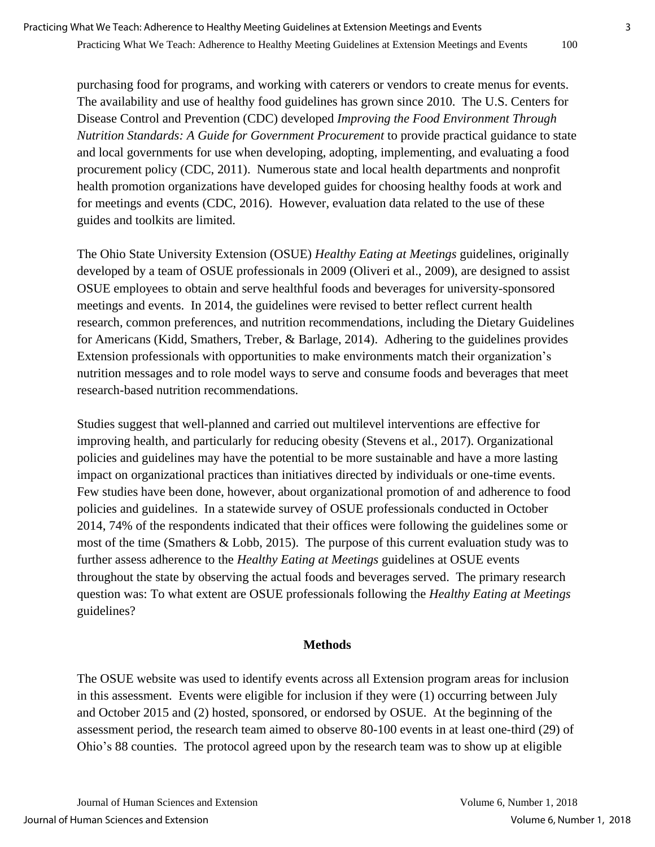purchasing food for programs, and working with caterers or vendors to create menus for events. The availability and use of healthy food guidelines has grown since 2010. The U.S. Centers for Disease Control and Prevention (CDC) developed *Improving the Food Environment Through Nutrition Standards: A Guide for Government Procurement* to provide practical guidance to state and local governments for use when developing, adopting, implementing, and evaluating a food procurement policy (CDC, 2011). Numerous state and local health departments and nonprofit health promotion organizations have developed guides for choosing healthy foods at work and for meetings and events (CDC, 2016). However, evaluation data related to the use of these guides and toolkits are limited.

The Ohio State University Extension (OSUE) *Healthy Eating at Meetings* guidelines, originally developed by a team of OSUE professionals in 2009 (Oliveri et al., 2009), are designed to assist OSUE employees to obtain and serve healthful foods and beverages for university-sponsored meetings and events. In 2014, the guidelines were revised to better reflect current health research, common preferences, and nutrition recommendations, including the Dietary Guidelines for Americans (Kidd, Smathers, Treber, & Barlage, 2014). Adhering to the guidelines provides Extension professionals with opportunities to make environments match their organization's nutrition messages and to role model ways to serve and consume foods and beverages that meet research-based nutrition recommendations.

Studies suggest that well-planned and carried out multilevel interventions are effective for improving health, and particularly for reducing obesity (Stevens et al., 2017). Organizational policies and guidelines may have the potential to be more sustainable and have a more lasting impact on organizational practices than initiatives directed by individuals or one-time events. Few studies have been done, however, about organizational promotion of and adherence to food policies and guidelines. In a statewide survey of OSUE professionals conducted in October 2014, 74% of the respondents indicated that their offices were following the guidelines some or most of the time (Smathers & Lobb, 2015). The purpose of this current evaluation study was to further assess adherence to the *Healthy Eating at Meetings* guidelines at OSUE events throughout the state by observing the actual foods and beverages served. The primary research question was: To what extent are OSUE professionals following the *Healthy Eating at Meetings* guidelines?

#### **Methods**

The OSUE website was used to identify events across all Extension program areas for inclusion in this assessment. Events were eligible for inclusion if they were (1) occurring between July and October 2015 and (2) hosted, sponsored, or endorsed by OSUE. At the beginning of the assessment period, the research team aimed to observe 80-100 events in at least one-third (29) of Ohio's 88 counties. The protocol agreed upon by the research team was to show up at eligible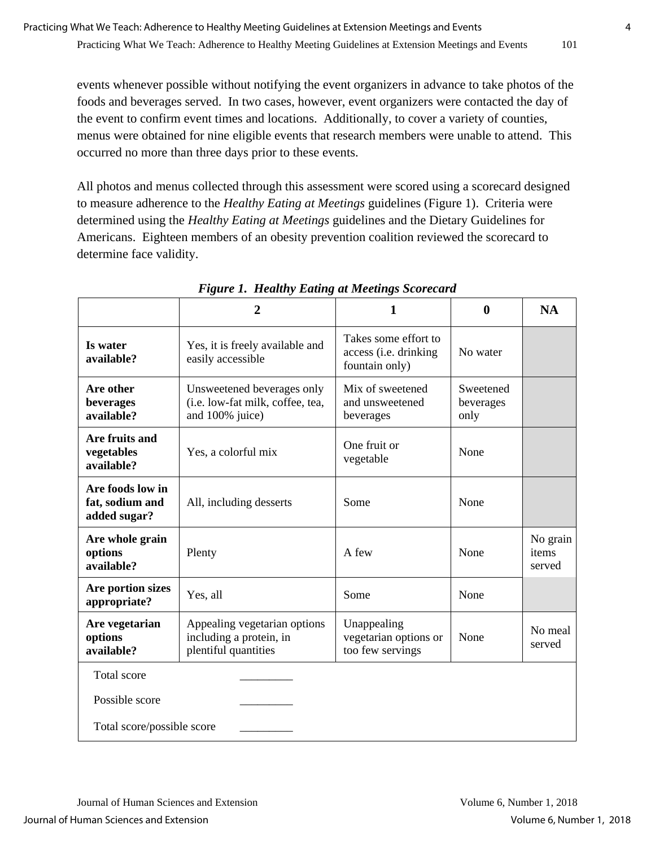events whenever possible without notifying the event organizers in advance to take photos of the foods and beverages served. In two cases, however, event organizers were contacted the day of the event to confirm event times and locations. Additionally, to cover a variety of counties, menus were obtained for nine eligible events that research members were unable to attend. This occurred no more than three days prior to these events.

All photos and menus collected through this assessment were scored using a scorecard designed to measure adherence to the *Healthy Eating at Meetings* guidelines (Figure 1). Criteria were determined using the *Healthy Eating at Meetings* guidelines and the Dietary Guidelines for Americans. Eighteen members of an obesity prevention coalition reviewed the scorecard to determine face validity.

|                                                     | $\overline{2}$                                                                    | 1                                                               | $\bf{0}$                       | <b>NA</b>                   |  |  |  |
|-----------------------------------------------------|-----------------------------------------------------------------------------------|-----------------------------------------------------------------|--------------------------------|-----------------------------|--|--|--|
| Is water<br>available?                              | Yes, it is freely available and<br>easily accessible                              | Takes some effort to<br>access (i.e. drinking<br>fountain only) | No water                       |                             |  |  |  |
| Are other<br>beverages<br>available?                | Unsweetened beverages only<br>(i.e. low-fat milk, coffee, tea,<br>and 100% juice) | Mix of sweetened<br>and unsweetened<br>beverages                | Sweetened<br>beverages<br>only |                             |  |  |  |
| Are fruits and<br>vegetables<br>available?          | Yes, a colorful mix                                                               | One fruit or<br>vegetable                                       | None                           |                             |  |  |  |
| Are foods low in<br>fat, sodium and<br>added sugar? | All, including desserts                                                           | Some                                                            | None                           |                             |  |  |  |
| Are whole grain<br>options<br>available?            | Plenty                                                                            | A few                                                           | None                           | No grain<br>items<br>served |  |  |  |
| Are portion sizes<br>appropriate?                   | Yes, all                                                                          | Some                                                            | None                           |                             |  |  |  |
| Are vegetarian<br>options<br>available?             | Appealing vegetarian options<br>including a protein, in<br>plentiful quantities   | Unappealing<br>vegetarian options or<br>too few servings        | None                           | No meal<br>served           |  |  |  |
| <b>Total</b> score                                  |                                                                                   |                                                                 |                                |                             |  |  |  |
| Possible score                                      |                                                                                   |                                                                 |                                |                             |  |  |  |
| Total score/possible score                          |                                                                                   |                                                                 |                                |                             |  |  |  |

*Figure 1. Healthy Eating at Meetings Scorecard*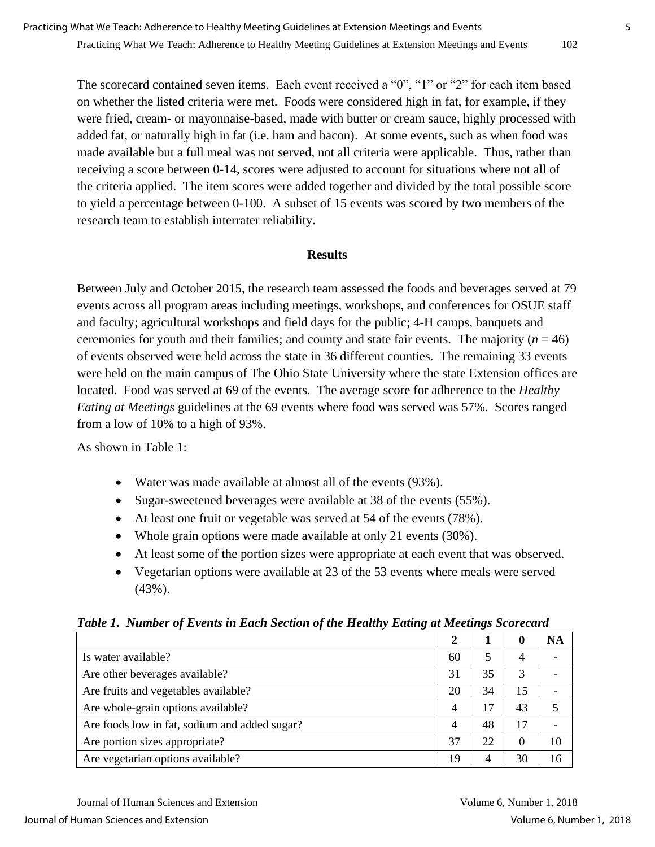The scorecard contained seven items. Each event received a "0", "1" or "2" for each item based on whether the listed criteria were met. Foods were considered high in fat, for example, if they were fried, cream- or mayonnaise-based, made with butter or cream sauce, highly processed with added fat, or naturally high in fat (i.e. ham and bacon). At some events, such as when food was made available but a full meal was not served, not all criteria were applicable. Thus, rather than receiving a score between 0-14, scores were adjusted to account for situations where not all of the criteria applied. The item scores were added together and divided by the total possible score to yield a percentage between 0-100. A subset of 15 events was scored by two members of the research team to establish interrater reliability.

#### **Results**

Between July and October 2015, the research team assessed the foods and beverages served at 79 events across all program areas including meetings, workshops, and conferences for OSUE staff and faculty; agricultural workshops and field days for the public; 4-H camps, banquets and ceremonies for youth and their families; and county and state fair events. The majority  $(n = 46)$ of events observed were held across the state in 36 different counties. The remaining 33 events were held on the main campus of The Ohio State University where the state Extension offices are located. Food was served at 69 of the events. The average score for adherence to the *Healthy Eating at Meetings* guidelines at the 69 events where food was served was 57%. Scores ranged from a low of 10% to a high of 93%.

As shown in Table 1:

- Water was made available at almost all of the events (93%).
- Sugar-sweetened beverages were available at 38 of the events (55%).
- At least one fruit or vegetable was served at 54 of the events (78%).
- Whole grain options were made available at only 21 events (30%).
- At least some of the portion sizes were appropriate at each event that was observed.
- Vegetarian options were available at 23 of the 53 events where meals were served (43%).

|                                               |  |    | o  | <b>NA</b> |  |
|-----------------------------------------------|--|----|----|-----------|--|
| Is water available?                           |  |    | 4  |           |  |
| Are other beverages available?                |  | 35 | 3  |           |  |
| Are fruits and vegetables available?          |  | 34 | 15 |           |  |
| Are whole-grain options available?            |  | 17 | 43 |           |  |
| Are foods low in fat, sodium and added sugar? |  | 48 | 17 |           |  |
| Are portion sizes appropriate?                |  | 22 | 0  | 10        |  |
| Are vegetarian options available?             |  | 4  | 30 | 16        |  |

#### *Table 1. Number of Events in Each Section of the Healthy Eating at Meetings Scorecard*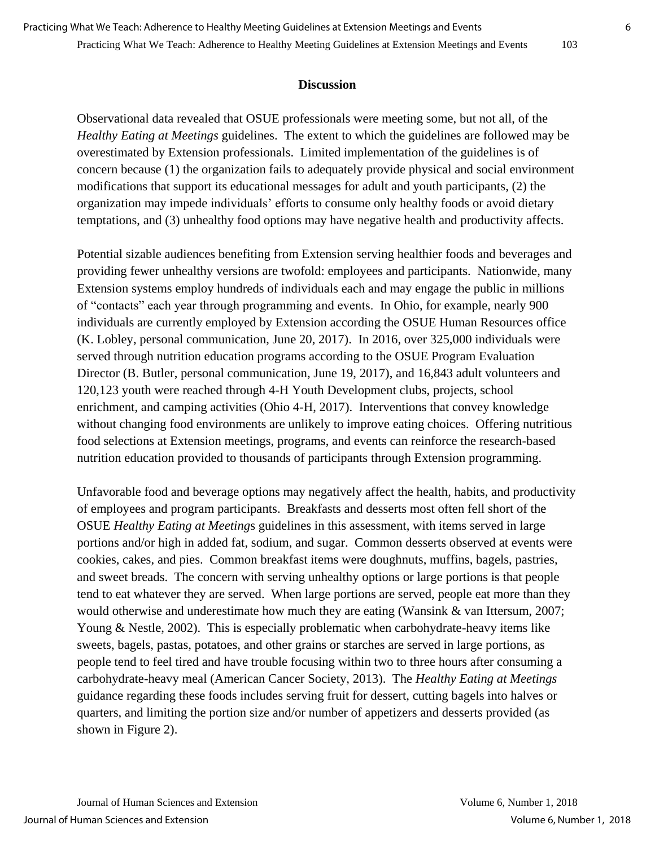Observational data revealed that OSUE professionals were meeting some, but not all, of the *Healthy Eating at Meetings* guidelines. The extent to which the guidelines are followed may be overestimated by Extension professionals. Limited implementation of the guidelines is of concern because (1) the organization fails to adequately provide physical and social environment modifications that support its educational messages for adult and youth participants, (2) the organization may impede individuals' efforts to consume only healthy foods or avoid dietary temptations, and (3) unhealthy food options may have negative health and productivity affects.

Potential sizable audiences benefiting from Extension serving healthier foods and beverages and providing fewer unhealthy versions are twofold: employees and participants. Nationwide, many Extension systems employ hundreds of individuals each and may engage the public in millions of "contacts" each year through programming and events. In Ohio, for example, nearly 900 individuals are currently employed by Extension according the OSUE Human Resources office (K. Lobley, personal communication, June 20, 2017). In 2016, over 325,000 individuals were served through nutrition education programs according to the OSUE Program Evaluation Director (B. Butler, personal communication, June 19, 2017), and 16,843 adult volunteers and 120,123 youth were reached through 4-H Youth Development clubs, projects, school enrichment, and camping activities (Ohio 4-H, 2017). Interventions that convey knowledge without changing food environments are unlikely to improve eating choices. Offering nutritious food selections at Extension meetings, programs, and events can reinforce the research-based nutrition education provided to thousands of participants through Extension programming.

Unfavorable food and beverage options may negatively affect the health, habits, and productivity of employees and program participants. Breakfasts and desserts most often fell short of the OSUE *Healthy Eating at Meeting*s guidelines in this assessment, with items served in large portions and/or high in added fat, sodium, and sugar. Common desserts observed at events were cookies, cakes, and pies. Common breakfast items were doughnuts, muffins, bagels, pastries, and sweet breads. The concern with serving unhealthy options or large portions is that people tend to eat whatever they are served. When large portions are served, people eat more than they would otherwise and underestimate how much they are eating (Wansink & van Ittersum, 2007; Young & Nestle, 2002). This is especially problematic when carbohydrate-heavy items like sweets, bagels, pastas, potatoes, and other grains or starches are served in large portions, as people tend to feel tired and have trouble focusing within two to three hours after consuming a carbohydrate-heavy meal (American Cancer Society, 2013). The *Healthy Eating at Meetings* guidance regarding these foods includes serving fruit for dessert, cutting bagels into halves or quarters, and limiting the portion size and/or number of appetizers and desserts provided (as shown in Figure 2).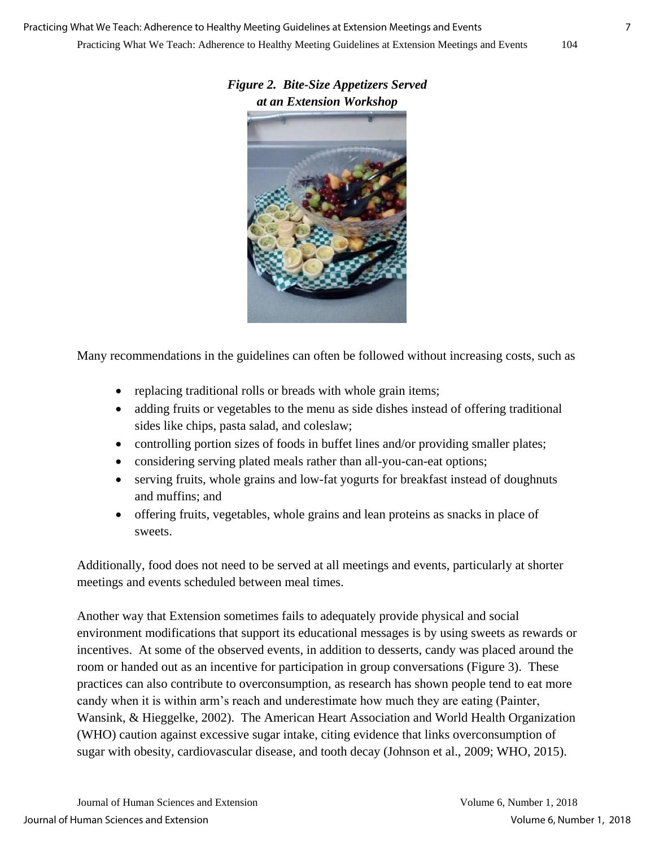Many recommendations in the guidelines can often be followed without increasing costs, such as

- replacing traditional rolls or breads with whole grain items;
- adding fruits or vegetables to the menu as side dishes instead of offering traditional sides like chips, pasta salad, and coleslaw;
- controlling portion sizes of foods in buffet lines and/or providing smaller plates;
- considering serving plated meals rather than all-you-can-eat options;
- serving fruits, whole grains and low-fat yogurts for breakfast instead of doughnuts and muffins; and
- offering fruits, vegetables, whole grains and lean proteins as snacks in place of sweets.

Additionally, food does not need to be served at all meetings and events, particularly at shorter meetings and events scheduled between meal times.

Another way that Extension sometimes fails to adequately provide physical and social environment modifications that support its educational messages is by using sweets as rewards or incentives. At some of the observed events, in addition to desserts, candy was placed around the room or handed out as an incentive for participation in group conversations (Figure 3). These practices can also contribute to overconsumption, as research has shown people tend to eat more candy when it is within arm's reach and underestimate how much they are eating (Painter, Wansink, & Hieggelke, 2002). The American Heart Association and World Health Organization (WHO) caution against excessive sugar intake, citing evidence that links overconsumption of sugar with obesity, cardiovascular disease, and tooth decay (Johnson et al., 2009; WHO, 2015).

## *Figure 2. Bite-Size Appetizers Served at an Extension Workshop*

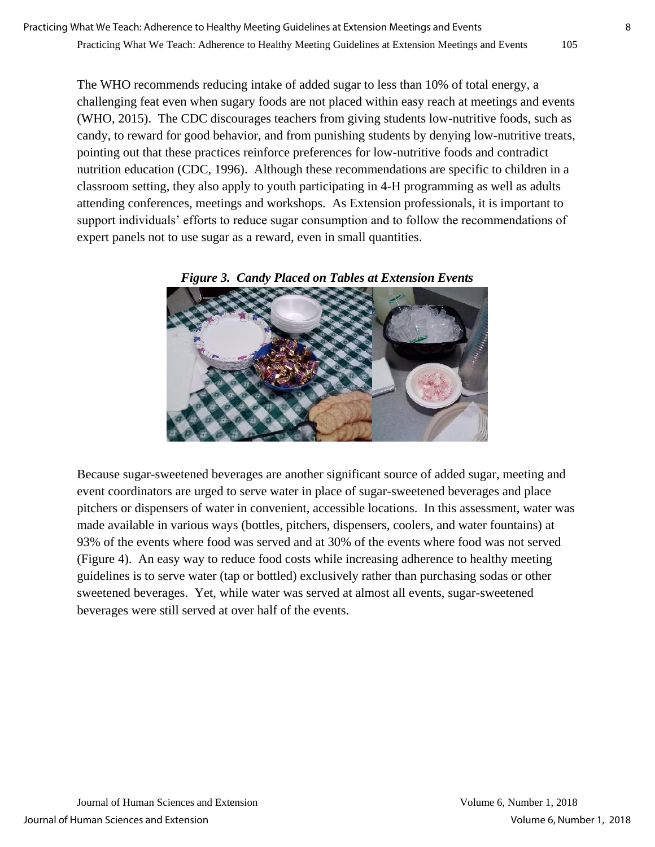The WHO recommends reducing intake of added sugar to less than 10% of total energy, a challenging feat even when sugary foods are not placed within easy reach at meetings and events (WHO, 2015). The CDC discourages teachers from giving students low-nutritive foods, such as candy, to reward for good behavior, and from punishing students by denying low-nutritive treats, pointing out that these practices reinforce preferences for low-nutritive foods and contradict nutrition education (CDC, 1996). Although these recommendations are specific to children in a classroom setting, they also apply to youth participating in 4-H programming as well as adults attending conferences, meetings and workshops. As Extension professionals, it is important to support individuals' efforts to reduce sugar consumption and to follow the recommendations of expert panels not to use sugar as a reward, even in small quantities.



*Figure 3. Candy Placed on Tables at Extension Events*

Because sugar-sweetened beverages are another significant source of added sugar, meeting and event coordinators are urged to serve water in place of sugar-sweetened beverages and place pitchers or dispensers of water in convenient, accessible locations. In this assessment, water was made available in various ways (bottles, pitchers, dispensers, coolers, and water fountains) at 93% of the events where food was served and at 30% of the events where food was not served (Figure 4). An easy way to reduce food costs while increasing adherence to healthy meeting guidelines is to serve water (tap or bottled) exclusively rather than purchasing sodas or other sweetened beverages. Yet, while water was served at almost all events, sugar-sweetened beverages were still served at over half of the events.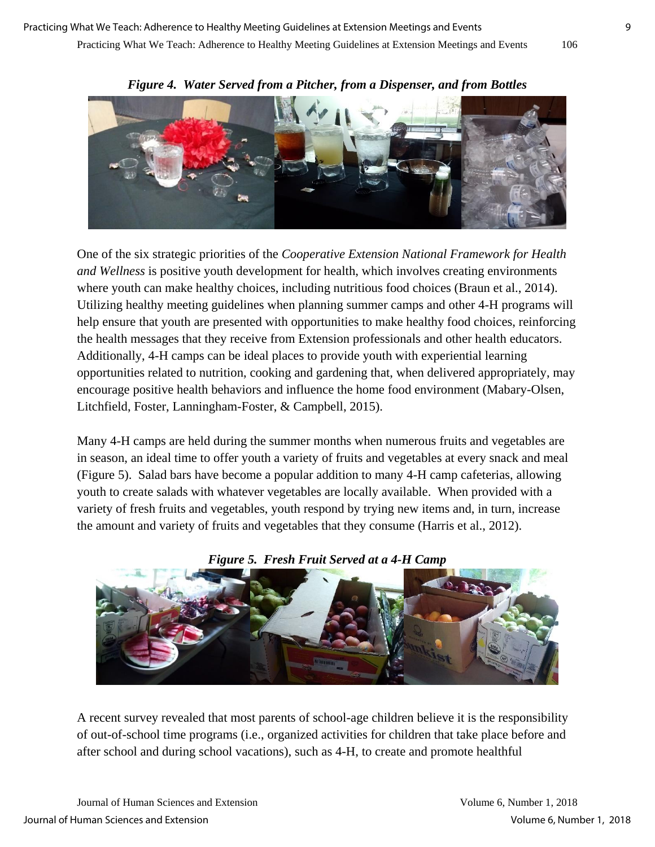

*Figure 4. Water Served from a Pitcher, from a Dispenser, and from Bottles*

One of the six strategic priorities of the *Cooperative Extension National Framework for Health and Wellness* is positive youth development for health, which involves creating environments where youth can make healthy choices, including nutritious food choices (Braun et al., 2014). Utilizing healthy meeting guidelines when planning summer camps and other 4-H programs will help ensure that youth are presented with opportunities to make healthy food choices, reinforcing the health messages that they receive from Extension professionals and other health educators. Additionally, 4-H camps can be ideal places to provide youth with experiential learning opportunities related to nutrition, cooking and gardening that, when delivered appropriately, may encourage positive health behaviors and influence the home food environment (Mabary-Olsen, Litchfield, Foster, Lanningham-Foster, & Campbell, 2015).

Many 4-H camps are held during the summer months when numerous fruits and vegetables are in season, an ideal time to offer youth a variety of fruits and vegetables at every snack and meal (Figure 5). Salad bars have become a popular addition to many 4-H camp cafeterias, allowing youth to create salads with whatever vegetables are locally available. When provided with a variety of fresh fruits and vegetables, youth respond by trying new items and, in turn, increase the amount and variety of fruits and vegetables that they consume (Harris et al., 2012).



*Figure 5. Fresh Fruit Served at a 4-H Camp*

A recent survey revealed that most parents of school-age children believe it is the responsibility of out-of-school time programs (i.e., organized activities for children that take place before and after school and during school vacations), such as 4-H, to create and promote healthful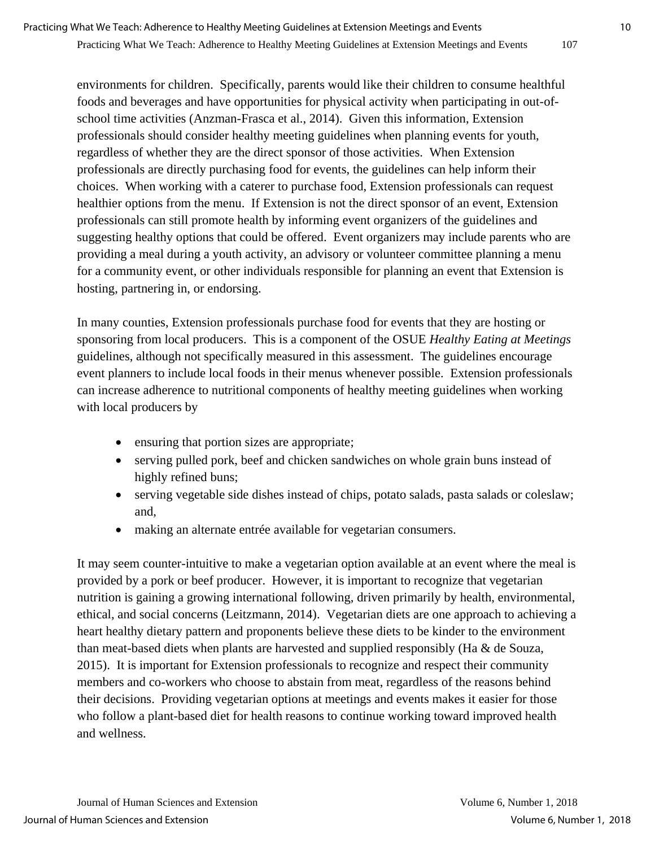environments for children. Specifically, parents would like their children to consume healthful foods and beverages and have opportunities for physical activity when participating in out-ofschool time activities (Anzman-Frasca et al., 2014). Given this information, Extension professionals should consider healthy meeting guidelines when planning events for youth, regardless of whether they are the direct sponsor of those activities. When Extension professionals are directly purchasing food for events, the guidelines can help inform their choices. When working with a caterer to purchase food, Extension professionals can request healthier options from the menu. If Extension is not the direct sponsor of an event, Extension professionals can still promote health by informing event organizers of the guidelines and suggesting healthy options that could be offered. Event organizers may include parents who are providing a meal during a youth activity, an advisory or volunteer committee planning a menu for a community event, or other individuals responsible for planning an event that Extension is hosting, partnering in, or endorsing.

In many counties, Extension professionals purchase food for events that they are hosting or sponsoring from local producers. This is a component of the OSUE *Healthy Eating at Meetings* guidelines, although not specifically measured in this assessment. The guidelines encourage event planners to include local foods in their menus whenever possible. Extension professionals can increase adherence to nutritional components of healthy meeting guidelines when working with local producers by

- ensuring that portion sizes are appropriate;
- serving pulled pork, beef and chicken sandwiches on whole grain buns instead of highly refined buns;
- serving vegetable side dishes instead of chips, potato salads, pasta salads or coleslaw; and,
- making an alternate entrée available for vegetarian consumers.

It may seem counter-intuitive to make a vegetarian option available at an event where the meal is provided by a pork or beef producer. However, it is important to recognize that vegetarian nutrition is gaining a growing international following, driven primarily by health, environmental, ethical, and social concerns (Leitzmann, 2014). Vegetarian diets are one approach to achieving a heart healthy dietary pattern and proponents believe these diets to be kinder to the environment than meat-based diets when plants are harvested and supplied responsibly (Ha & de Souza, 2015). It is important for Extension professionals to recognize and respect their community members and co-workers who choose to abstain from meat, regardless of the reasons behind their decisions. Providing vegetarian options at meetings and events makes it easier for those who follow a plant-based diet for health reasons to continue working toward improved health and wellness.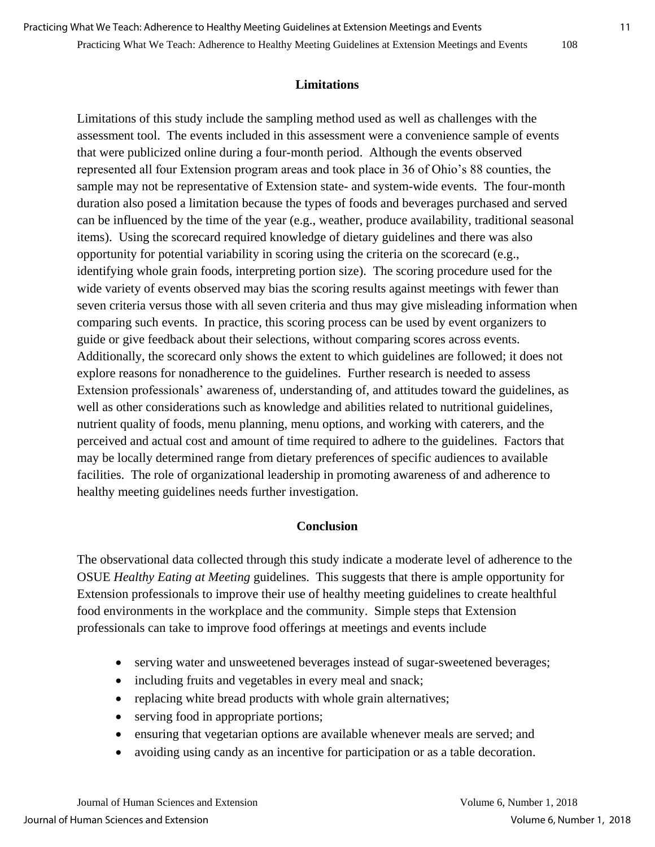#### Practicing What We Teach: Adherence to Healthy Meeting Guidelines at Extension Meetings and Events 108

Limitations of this study include the sampling method used as well as challenges with the assessment tool. The events included in this assessment were a convenience sample of events that were publicized online during a four-month period. Although the events observed represented all four Extension program areas and took place in 36 of Ohio's 88 counties, the sample may not be representative of Extension state- and system-wide events. The four-month duration also posed a limitation because the types of foods and beverages purchased and served can be influenced by the time of the year (e.g., weather, produce availability, traditional seasonal items). Using the scorecard required knowledge of dietary guidelines and there was also opportunity for potential variability in scoring using the criteria on the scorecard (e.g., identifying whole grain foods, interpreting portion size). The scoring procedure used for the wide variety of events observed may bias the scoring results against meetings with fewer than seven criteria versus those with all seven criteria and thus may give misleading information when comparing such events. In practice, this scoring process can be used by event organizers to guide or give feedback about their selections, without comparing scores across events. Additionally, the scorecard only shows the extent to which guidelines are followed; it does not explore reasons for nonadherence to the guidelines. Further research is needed to assess Extension professionals' awareness of, understanding of, and attitudes toward the guidelines, as well as other considerations such as knowledge and abilities related to nutritional guidelines, nutrient quality of foods, menu planning, menu options, and working with caterers, and the perceived and actual cost and amount of time required to adhere to the guidelines. Factors that may be locally determined range from dietary preferences of specific audiences to available facilities. The role of organizational leadership in promoting awareness of and adherence to healthy meeting guidelines needs further investigation.

### **Conclusion**

The observational data collected through this study indicate a moderate level of adherence to the OSUE *Healthy Eating at Meeting* guidelines. This suggests that there is ample opportunity for Extension professionals to improve their use of healthy meeting guidelines to create healthful food environments in the workplace and the community. Simple steps that Extension professionals can take to improve food offerings at meetings and events include

- serving water and unsweetened beverages instead of sugar-sweetened beverages;
- including fruits and vegetables in every meal and snack;
- replacing white bread products with whole grain alternatives;
- serving food in appropriate portions;
- ensuring that vegetarian options are available whenever meals are served; and
- avoiding using candy as an incentive for participation or as a table decoration.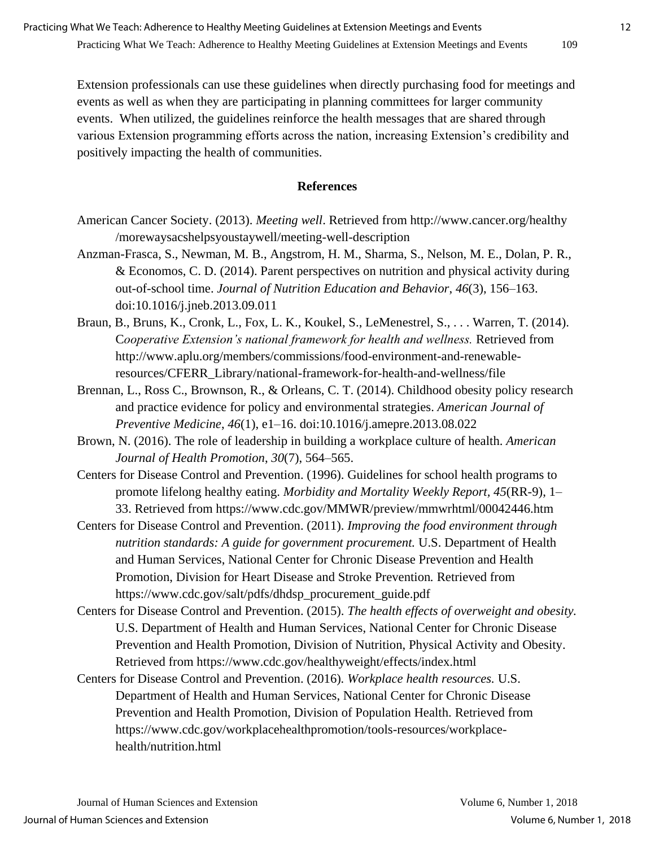Extension professionals can use these guidelines when directly purchasing food for meetings and events as well as when they are participating in planning committees for larger community events. When utilized, the guidelines reinforce the health messages that are shared through various Extension programming efforts across the nation, increasing Extension's credibility and positively impacting the health of communities.

#### **References**

- American Cancer Society. (2013). *Meeting well*. Retrieved from http://www.cancer.org/healthy /morewaysacshelpsyoustaywell/meeting-well-description
- Anzman-Frasca, S., Newman, M. B., Angstrom, H. M., Sharma, S., Nelson, M. E., Dolan, P. R., & Economos, C. D. (2014). Parent perspectives on nutrition and physical activity during out-of-school time. *Journal of Nutrition Education and Behavior*, *46*(3), 156–163. doi:10.1016/j.jneb.2013.09.011
- Braun, B., Bruns, K., Cronk, L., Fox, L. K., Koukel, S., LeMenestrel, S., . . . Warren, T. (2014). C*ooperative Extension's national framework for health and wellness.* Retrieved from http://www.aplu.org/members/commissions/food-environment-and-renewableresources/CFERR\_Library/national-framework-for-health-and-wellness/file
- Brennan, L., Ross C., Brownson, R., & Orleans, C. T. (2014). Childhood obesity policy research and practice evidence for policy and environmental strategies. *American Journal of Preventive Medicine*, *46*(1), e1–16. doi:10.1016/j.amepre.2013.08.022
- Brown, N. (2016). The role of leadership in building a workplace culture of health. *American Journal of Health Promotion*, *30*(7), 564–565.
- Centers for Disease Control and Prevention. (1996). Guidelines for school health programs to promote lifelong healthy eating. *Morbidity and Mortality Weekly Report, 45*(RR-9), 1– 33. Retrieved from https://www.cdc.gov/MMWR/preview/mmwrhtml/00042446.htm
- Centers for Disease Control and Prevention. (2011). *Improving the food environment through nutrition standards: A guide for government procurement.* U.S. Department of Health and Human Services, National Center for Chronic Disease Prevention and Health Promotion, Division for Heart Disease and Stroke Prevention*.* Retrieved from https://www.cdc.gov/salt/pdfs/dhdsp\_procurement\_guide.pdf
- Centers for Disease Control and Prevention. (2015). *The health effects of overweight and obesity.*  U.S. Department of Health and Human Services, National Center for Chronic Disease Prevention and Health Promotion, Division of Nutrition, Physical Activity and Obesity. Retrieved from https://www.cdc.gov/healthyweight/effects/index.html
- Centers for Disease Control and Prevention. (2016)*. Workplace health resources.* U.S. Department of Health and Human Services, National Center for Chronic Disease Prevention and Health Promotion, Division of Population Health. Retrieved from https://www.cdc.gov/workplacehealthpromotion/tools-resources/workplacehealth/nutrition.html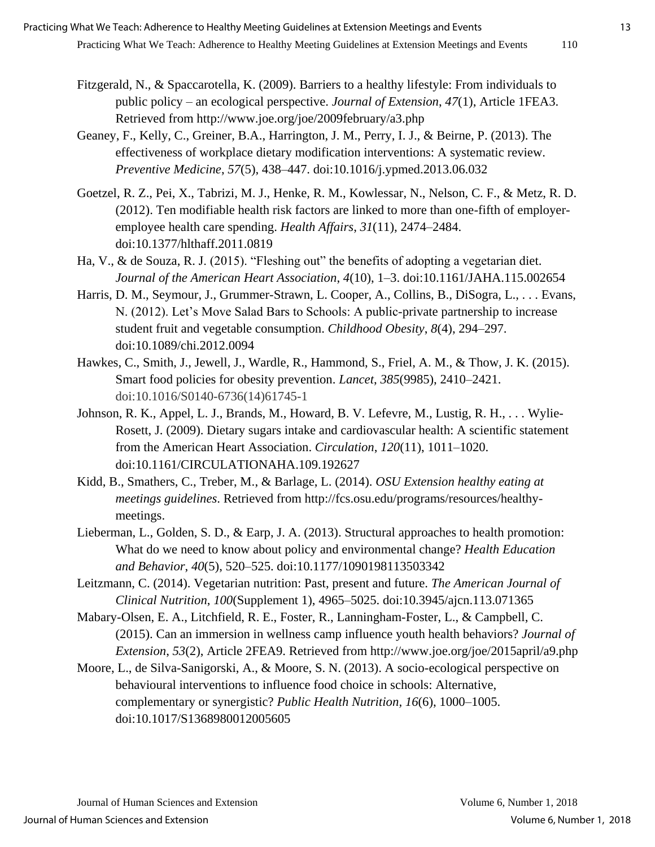- Fitzgerald, N., & Spaccarotella, K. (2009). Barriers to a healthy lifestyle: From individuals to public policy – an ecological perspective. *Journal of Extension*, *47*(1), Article 1FEA3. Retrieved from <http://www.joe.org/joe/2009february/a3.php>
- Geaney, F., Kelly, C., Greiner, B.A., Harrington, J. M., Perry, I. J., & Beirne, P. (2013). The effectiveness of workplace dietary modification interventions: A systematic review. *Preventive Medicine*, *57*(5), 438–447. doi:10.1016/j.ypmed.2013.06.032
- Goetzel, R. Z., Pei, X., Tabrizi, M. J., Henke, R. M., Kowlessar, N., Nelson, C. F., & Metz, R. D. (2012). Ten modifiable health risk factors are linked to more than one-fifth of employeremployee health care spending. *Health Affairs*, *31*(11), 2474–2484. doi:10.1377/hlthaff.2011.0819
- Ha, V., & de Souza, R. J. (2015). "Fleshing out" the benefits of adopting a vegetarian diet. *Journal of the American Heart Association*, *4*(10), 1–3. doi:10.1161/JAHA.115.002654
- Harris, D. M., Seymour, J., Grummer-Strawn, L. Cooper, A., Collins, B., DiSogra, L., . . . Evans, N. (2012). Let's Move Salad Bars to Schools: A public-private partnership to increase student fruit and vegetable consumption. *Childhood Obesity*, *8*(4), 294–297. doi:10.1089/chi.2012.0094
- Hawkes, C., Smith, J., Jewell, J., Wardle, R., Hammond, S., Friel, A. M., & Thow, J. K. (2015). Smart food policies for obesity prevention. *Lancet*, *385*(9985), 2410–2421. doi:10.1016/S0140-6736(14)61745-1
- Johnson, R. K., Appel, L. J., Brands, M., Howard, B. V. Lefevre, M., Lustig, R. H., . . . Wylie-Rosett, J. (2009). Dietary sugars intake and cardiovascular health: A scientific statement from the American Heart Association. *Circulation*, *120*(11), 1011–1020. doi:10.1161/CIRCULATIONAHA.109.192627
- Kidd, B., Smathers, C., Treber, M., & Barlage, L. (2014). *OSU Extension healthy eating at meetings guidelines*. Retrieved from http://fcs.osu.edu/programs/resources/healthymeetings.
- Lieberman, L., Golden, S. D., & Earp, J. A. (2013). Structural approaches to health promotion: What do we need to know about policy and environmental change? *Health Education and Behavior*, *40*(5), 520–525. doi:10.1177/1090198113503342
- Leitzmann, C. (2014). Vegetarian nutrition: Past, present and future. *The American Journal of Clinical Nutrition*, *100*(Supplement 1), 4965–5025. doi:10.3945/ajcn.113.071365
- Mabary-Olsen, E. A., Litchfield, R. E., Foster, R., Lanningham-Foster, L., & Campbell, C. (2015). Can an immersion in wellness camp influence youth health behaviors? *Journal of Extension*, *53*(2), Article 2FEA9. Retrieved from http://www.joe.org/joe/2015april/a9.php
- Moore, L., de Silva-Sanigorski, A., & Moore, S. N. (2013). A socio-ecological perspective on behavioural interventions to influence food choice in schools: Alternative, complementary or synergistic? *Public Health Nutrition, 16*(6), 1000–1005. doi:10.1017/S1368980012005605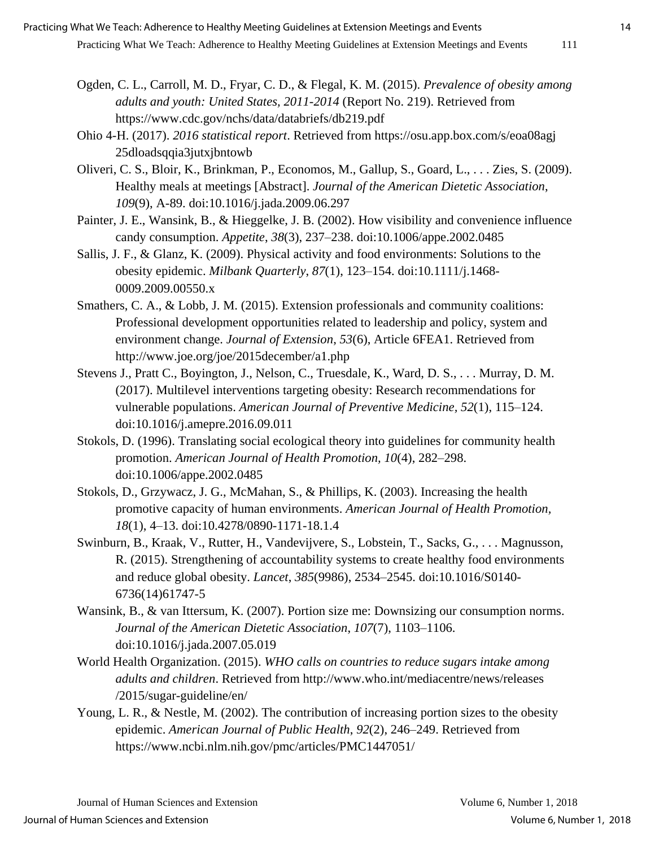- Ogden, C. L., Carroll, M. D., Fryar, C. D., & Flegal, K. M. (2015). *Prevalence of obesity among adults and youth: United States, 2011-2014* (Report No. 219). Retrieved from https://www.cdc.gov/nchs/data/databriefs/db219.pdf
- Ohio 4-H. (2017). *2016 statistical report*. Retrieved from https://osu.app.box.com/s/eoa08agj 25dloadsqqia3jutxjbntowb
- Oliveri, C. S., Bloir, K., Brinkman, P., Economos, M., Gallup, S., Goard, L., . . . Zies, S. (2009). Healthy meals at meetings [Abstract]. *Journal of the American Dietetic Association*, *109*(9), A-89. doi:10.1016/j.jada.2009.06.297
- Painter, J. E., Wansink, B., & Hieggelke, J. B. (2002). How visibility and convenience influence candy consumption. *Appetite*, *38*(3), 237–238. doi:10.1006/appe.2002.0485
- Sallis, J. F., & Glanz, K. (2009). Physical activity and food environments: Solutions to the obesity epidemic. *Milbank Quarterly*, *87*(1), 123–154. doi:10.1111/j.1468- 0009.2009.00550.x
- Smathers, C. A., & Lobb, J. M. (2015). Extension professionals and community coalitions: Professional development opportunities related to leadership and policy, system and environment change. *Journal of Extension*, *53*(6), Article 6FEA1. Retrieved from http://www.joe.org/joe/2015december/a1.php
- Stevens J., Pratt C., Boyington, J., Nelson, C., Truesdale, K., Ward, D. S., . . . Murray, D. M. (2017). Multilevel interventions targeting obesity: Research recommendations for vulnerable populations. *American Journal of Preventive Medicine, 52*(1), 115–124. doi:10.1016/j.amepre.2016.09.011
- Stokols, D. (1996). Translating social ecological theory into guidelines for community health promotion. *American Journal of Health Promotion, 10*(4), 282–298. doi:10.1006/appe.2002.0485
- Stokols, D., Grzywacz, J. G., McMahan, S., & Phillips, K. (2003). Increasing the health promotive capacity of human environments. *American Journal of Health Promotion, 18*(1), 4–13. doi:10.4278/0890-1171-18.1.4
- Swinburn, B., Kraak, V., Rutter, H., Vandevijvere, S., Lobstein, T., Sacks, G., . . . Magnusson, R. (2015). Strengthening of accountability systems to create healthy food environments and reduce global obesity. *Lancet*, *385*(9986), 2534–2545. doi:10.1016/S0140- 6736(14)61747-5
- Wansink, B., & van Ittersum, K. (2007). Portion size me: Downsizing our consumption norms. *Journal of the American Dietetic Association*, *107*(7), 1103–1106. doi:10.1016/j.jada.2007.05.019
- World Health Organization. (2015). *WHO calls on countries to reduce sugars intake among adults and children*. Retrieved from http://www.who.int/mediacentre/news/releases /2015/sugar-guideline/en/
- Young, L. R., & Nestle, M. (2002). The contribution of increasing portion sizes to the obesity epidemic. *American Journal of Public Health*, *92*(2), 246–249. Retrieved from https://www.ncbi.nlm.nih.gov/pmc/articles/PMC1447051/